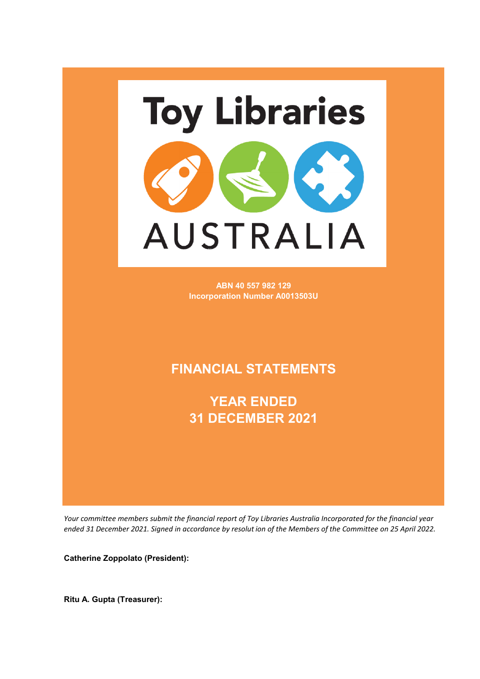

**ABN 40 557 982 129 Incorporation Number A0013503U**

### **FINANCIAL STATEMENTS**

**YEAR ENDED 31 DECEMBER 2021**

Your committee members submit the financial report of Toy Libraries Australia Incorporated for the financial year ended 31 December 2021. Signed in accordance by resolut ion of the Members of the Committee on 25 April 2022.

**Catherine Zoppolato (President):**

**Ritu A. Gupta (Treasurer):**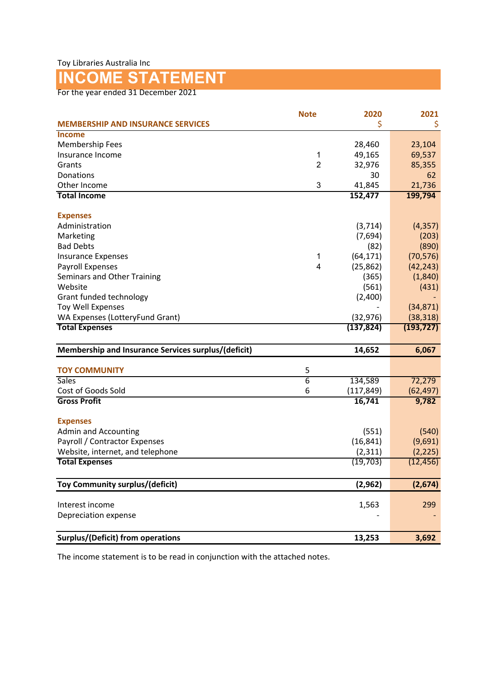## **INCOME STATEMENT**

For the year ended 31 December 2021

|                                                     | <b>Note</b>    | 2020       | 2021       |
|-----------------------------------------------------|----------------|------------|------------|
| <b>MEMBERSHIP AND INSURANCE SERVICES</b>            |                | \$         | \$         |
| Income                                              |                |            |            |
| <b>Membership Fees</b>                              |                | 28,460     | 23,104     |
| Insurance Income                                    | 1              | 49,165     | 69,537     |
| Grants                                              | $\overline{2}$ | 32,976     | 85,355     |
| Donations                                           |                | 30         | 62         |
| Other Income                                        | 3              | 41,845     | 21,736     |
| <b>Total Income</b>                                 |                | 152,477    | 199,794    |
|                                                     |                |            |            |
| <b>Expenses</b>                                     |                |            |            |
| Administration                                      |                | (3, 714)   | (4, 357)   |
| Marketing                                           |                | (7,694)    | (203)      |
| <b>Bad Debts</b>                                    |                | (82)       | (890)      |
| <b>Insurance Expenses</b>                           | 1              | (64, 171)  | (70, 576)  |
| Payroll Expenses                                    | $\overline{4}$ | (25, 862)  | (42, 243)  |
| Seminars and Other Training                         |                | (365)      | (1,840)    |
| Website                                             |                | (561)      | (431)      |
| Grant funded technology                             |                | (2,400)    |            |
| <b>Toy Well Expenses</b>                            |                |            | (34, 871)  |
| WA Expenses (LotteryFund Grant)                     |                | (32, 976)  | (38, 318)  |
| <b>Total Expenses</b>                               |                | (137, 824) | (193, 727) |
|                                                     |                |            |            |
| Membership and Insurance Services surplus/(deficit) |                | 14,652     | 6,067      |
|                                                     |                |            |            |
| <b>TOY COMMUNITY</b>                                | 5              |            |            |
| <b>Sales</b>                                        | $\overline{6}$ | 134,589    | 72,279     |
| Cost of Goods Sold                                  | 6              | (117, 849) | (62, 497)  |
| <b>Gross Profit</b>                                 |                | 16,741     | 9,782      |
|                                                     |                |            |            |
| <b>Expenses</b>                                     |                |            |            |
| <b>Admin and Accounting</b>                         |                | (551)      | (540)      |
| Payroll / Contractor Expenses                       |                | (16, 841)  | (9,691)    |
| Website, internet, and telephone                    |                | (2, 311)   | (2, 225)   |
| <b>Total Expenses</b>                               |                | (19, 703)  | (12, 456)  |
| Toy Community surplus/(deficit)                     |                | (2,962)    | (2,674)    |
| Interest income                                     |                | 1,563      | 299        |
| Depreciation expense                                |                |            |            |
|                                                     |                |            |            |
| <b>Surplus/(Deficit) from operations</b>            |                | 13,253     | 3,692      |

The income statement is to be read in conjunction with the attached notes.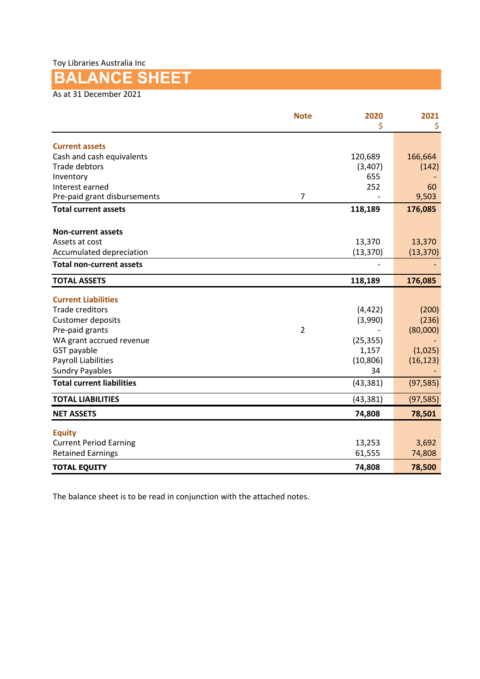Toy Libraries Australia Inc

## **BALANCE SHEET**

As at 31 December 2021

|                                            | <b>Note</b>    | 2020<br>\$     | 2021<br>\$ |
|--------------------------------------------|----------------|----------------|------------|
|                                            |                |                |            |
| <b>Current assets</b>                      |                |                |            |
| Cash and cash equivalents<br>Trade debtors |                | 120,689        | 166,664    |
| Inventory                                  |                | (3,407)<br>655 | (142)      |
| Interest earned                            |                | 252            | 60         |
| Pre-paid grant disbursements               | $\overline{7}$ |                | 9,503      |
| <b>Total current assets</b>                |                | 118,189        | 176,085    |
| <b>Non-current assets</b>                  |                |                |            |
| Assets at cost                             |                | 13,370         | 13,370     |
| Accumulated depreciation                   |                | (13, 370)      | (13, 370)  |
| <b>Total non-current assets</b>            |                |                |            |
| <b>TOTAL ASSETS</b>                        |                | 118,189        | 176,085    |
| <b>Current Liabilities</b>                 |                |                |            |
| <b>Trade creditors</b>                     |                | (4, 422)       | (200)      |
| <b>Customer deposits</b>                   |                | (3,990)        | (236)      |
| Pre-paid grants                            | $\overline{2}$ |                | (80,000)   |
| WA grant accrued revenue                   |                | (25, 355)      |            |
| GST payable                                |                | 1,157          | (1,025)    |
| <b>Payroll Liabilities</b>                 |                | (10, 806)      | (16, 123)  |
| <b>Sundry Payables</b>                     |                | 34             |            |
| <b>Total current liabilities</b>           |                | (43, 381)      | (97, 585)  |
| <b>TOTAL LIABILITIES</b>                   |                | (43, 381)      | (97, 585)  |
| <b>NET ASSETS</b>                          |                | 74,808         | 78,501     |
| <b>Equity</b>                              |                |                |            |
| <b>Current Period Earning</b>              |                | 13,253         | 3,692      |
| <b>Retained Earnings</b>                   |                | 61,555         | 74,808     |
| <b>TOTAL EQUITY</b>                        |                | 74,808         | 78,500     |

The balance sheet is to be read in conjunction with the attached notes.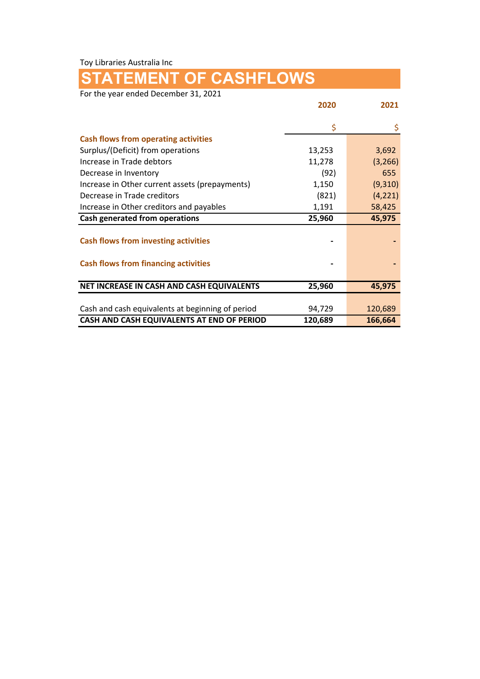Toy Libraries Australia Inc

# **STATEMENT OF CASHFLOWS**

For the year ended December 31, 2021

|                                                  | 2020    | 2021     |
|--------------------------------------------------|---------|----------|
|                                                  | \$      | \$       |
| <b>Cash flows from operating activities</b>      |         |          |
| Surplus/(Deficit) from operations                | 13,253  | 3,692    |
| Increase in Trade debtors                        | 11,278  | (3,266)  |
| Decrease in Inventory                            | (92)    | 655      |
| Increase in Other current assets (prepayments)   | 1,150   | (9,310)  |
| Decrease in Trade creditors                      | (821)   | (4, 221) |
| Increase in Other creditors and payables         | 1,191   | 58,425   |
| Cash generated from operations                   | 25,960  | 45,975   |
| <b>Cash flows from investing activities</b>      |         |          |
|                                                  |         |          |
| <b>Cash flows from financing activities</b>      |         |          |
|                                                  |         |          |
| NET INCREASE IN CASH AND CASH EQUIVALENTS        | 25,960  | 45,975   |
|                                                  |         |          |
| Cash and cash equivalents at beginning of period | 94,729  | 120,689  |
| CASH AND CASH EQUIVALENTS AT END OF PERIOD       | 120,689 | 166,664  |